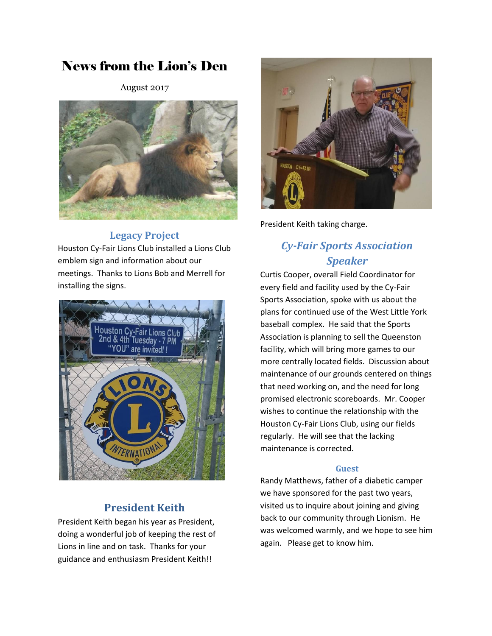# News from the Lion's Den

August 2017



## **Legacy Project**

Houston Cy-Fair Lions Club installed a Lions Club emblem sign and information about our meetings. Thanks to Lions Bob and Merrell for installing the signs.



## **President Keith**

President Keith began his year as President, doing a wonderful job of keeping the rest of Lions in line and on task. Thanks for your guidance and enthusiasm President Keith!!



President Keith taking charge.

## *Cy-Fair Sports Association Speaker*

Curtis Cooper, overall Field Coordinator for every field and facility used by the Cy-Fair Sports Association, spoke with us about the plans for continued use of the West Little York baseball complex. He said that the Sports Association is planning to sell the Queenston facility, which will bring more games to our more centrally located fields. Discussion about maintenance of our grounds centered on things that need working on, and the need for long promised electronic scoreboards. Mr. Cooper wishes to continue the relationship with the Houston Cy-Fair Lions Club, using our fields regularly. He will see that the lacking maintenance is corrected.

#### **Guest**

Randy Matthews, father of a diabetic camper we have sponsored for the past two years, visited us to inquire about joining and giving back to our community through Lionism. He was welcomed warmly, and we hope to see him again. Please get to know him.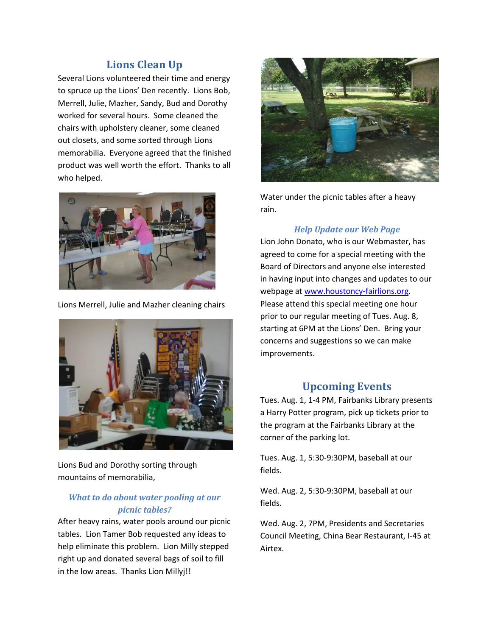## **Lions Clean Up**

Several Lions volunteered their time and energy to spruce up the Lions' Den recently. Lions Bob, Merrell, Julie, Mazher, Sandy, Bud and Dorothy worked for several hours. Some cleaned the chairs with upholstery cleaner, some cleaned out closets, and some sorted through Lions memorabilia. Everyone agreed that the finished product was well worth the effort. Thanks to all who helped.



Lions Merrell, Julie and Mazher cleaning chairs



Lions Bud and Dorothy sorting through mountains of memorabilia,

### *What to do about water pooling at our picnic tables?*

After heavy rains, water pools around our picnic tables. Lion Tamer Bob requested any ideas to help eliminate this problem. Lion Milly stepped right up and donated several bags of soil to fill in the low areas. Thanks Lion Millyj!!



Water under the picnic tables after a heavy rain.

#### *Help Update our Web Page*

Lion John Donato, who is our Webmaster, has agreed to come for a special meeting with the Board of Directors and anyone else interested in having input into changes and updates to our webpage a[t www.houstoncy-fairlions.org.](http://www.houstoncy-fairlions.org/) Please attend this special meeting one hour prior to our regular meeting of Tues. Aug. 8, starting at 6PM at the Lions' Den. Bring your concerns and suggestions so we can make improvements.

### **Upcoming Events**

Tues. Aug. 1, 1-4 PM, Fairbanks Library presents a Harry Potter program, pick up tickets prior to the program at the Fairbanks Library at the corner of the parking lot.

Tues. Aug. 1, 5:30-9:30PM, baseball at our fields.

Wed. Aug. 2, 5:30-9:30PM, baseball at our fields.

Wed. Aug. 2, 7PM, Presidents and Secretaries Council Meeting, China Bear Restaurant, I-45 at Airtex.